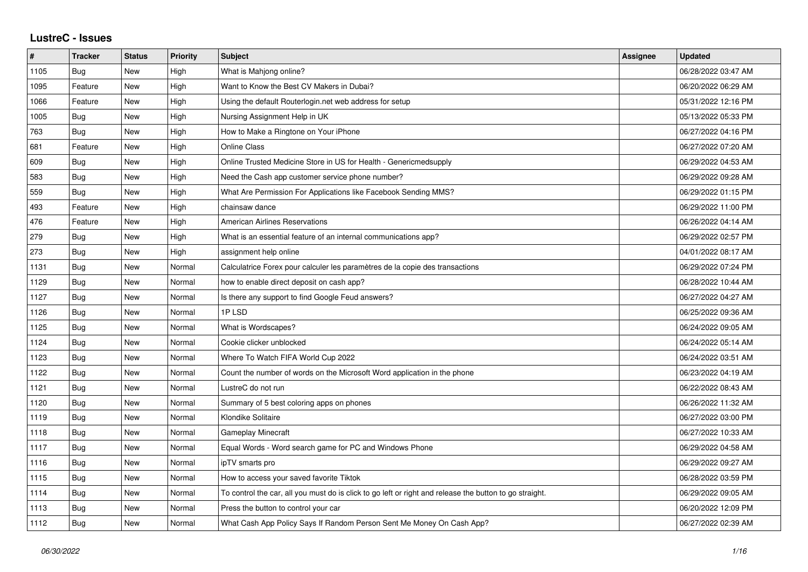## **LustreC - Issues**

| $\pmb{\#}$ | <b>Tracker</b> | <b>Status</b> | <b>Priority</b> | <b>Subject</b>                                                                                          | Assignee | <b>Updated</b>      |
|------------|----------------|---------------|-----------------|---------------------------------------------------------------------------------------------------------|----------|---------------------|
| 1105       | Bug            | <b>New</b>    | High            | What is Mahjong online?                                                                                 |          | 06/28/2022 03:47 AM |
| 1095       | Feature        | <b>New</b>    | High            | Want to Know the Best CV Makers in Dubai?                                                               |          | 06/20/2022 06:29 AM |
| 1066       | Feature        | New           | High            | Using the default Routerlogin.net web address for setup                                                 |          | 05/31/2022 12:16 PM |
| 1005       | <b>Bug</b>     | <b>New</b>    | High            | Nursing Assignment Help in UK                                                                           |          | 05/13/2022 05:33 PM |
| 763        | Bug            | <b>New</b>    | High            | How to Make a Ringtone on Your iPhone                                                                   |          | 06/27/2022 04:16 PM |
| 681        | Feature        | New           | High            | <b>Online Class</b>                                                                                     |          | 06/27/2022 07:20 AM |
| 609        | <b>Bug</b>     | <b>New</b>    | High            | Online Trusted Medicine Store in US for Health - Genericmedsupply                                       |          | 06/29/2022 04:53 AM |
| 583        | <b>Bug</b>     | <b>New</b>    | High            | Need the Cash app customer service phone number?                                                        |          | 06/29/2022 09:28 AM |
| 559        | Bug            | <b>New</b>    | High            | What Are Permission For Applications like Facebook Sending MMS?                                         |          | 06/29/2022 01:15 PM |
| 493        | Feature        | <b>New</b>    | High            | chainsaw dance                                                                                          |          | 06/29/2022 11:00 PM |
| 476        | Feature        | New           | High            | American Airlines Reservations                                                                          |          | 06/26/2022 04:14 AM |
| 279        | <b>Bug</b>     | New           | High            | What is an essential feature of an internal communications app?                                         |          | 06/29/2022 02:57 PM |
| 273        | <b>Bug</b>     | New           | High            | assignment help online                                                                                  |          | 04/01/2022 08:17 AM |
| 1131       | <b>Bug</b>     | <b>New</b>    | Normal          | Calculatrice Forex pour calculer les paramètres de la copie des transactions                            |          | 06/29/2022 07:24 PM |
| 1129       | Bug            | <b>New</b>    | Normal          | how to enable direct deposit on cash app?                                                               |          | 06/28/2022 10:44 AM |
| 1127       | Bug            | <b>New</b>    | Normal          | Is there any support to find Google Feud answers?                                                       |          | 06/27/2022 04:27 AM |
| 1126       | <b>Bug</b>     | <b>New</b>    | Normal          | 1PLSD                                                                                                   |          | 06/25/2022 09:36 AM |
| 1125       | Bug            | <b>New</b>    | Normal          | What is Wordscapes?                                                                                     |          | 06/24/2022 09:05 AM |
| 1124       | Bug            | <b>New</b>    | Normal          | Cookie clicker unblocked                                                                                |          | 06/24/2022 05:14 AM |
| 1123       | Bug            | <b>New</b>    | Normal          | Where To Watch FIFA World Cup 2022                                                                      |          | 06/24/2022 03:51 AM |
| 1122       | Bug            | New           | Normal          | Count the number of words on the Microsoft Word application in the phone                                |          | 06/23/2022 04:19 AM |
| 1121       | <b>Bug</b>     | <b>New</b>    | Normal          | LustreC do not run                                                                                      |          | 06/22/2022 08:43 AM |
| 1120       | <b>Bug</b>     | <b>New</b>    | Normal          | Summary of 5 best coloring apps on phones                                                               |          | 06/26/2022 11:32 AM |
| 1119       | Bug            | <b>New</b>    | Normal          | Klondike Solitaire                                                                                      |          | 06/27/2022 03:00 PM |
| 1118       | <b>Bug</b>     | <b>New</b>    | Normal          | <b>Gameplay Minecraft</b>                                                                               |          | 06/27/2022 10:33 AM |
| 1117       | <b>Bug</b>     | <b>New</b>    | Normal          | Equal Words - Word search game for PC and Windows Phone                                                 |          | 06/29/2022 04:58 AM |
| 1116       | Bug            | <b>New</b>    | Normal          | ipTV smarts pro                                                                                         |          | 06/29/2022 09:27 AM |
| 1115       | <b>Bug</b>     | <b>New</b>    | Normal          | How to access your saved favorite Tiktok                                                                |          | 06/28/2022 03:59 PM |
| 1114       | Bug            | <b>New</b>    | Normal          | To control the car, all you must do is click to go left or right and release the button to go straight. |          | 06/29/2022 09:05 AM |
| 1113       | Bug            | New           | Normal          | Press the button to control your car                                                                    |          | 06/20/2022 12:09 PM |
| 1112       | Bug            | <b>New</b>    | Normal          | What Cash App Policy Says If Random Person Sent Me Money On Cash App?                                   |          | 06/27/2022 02:39 AM |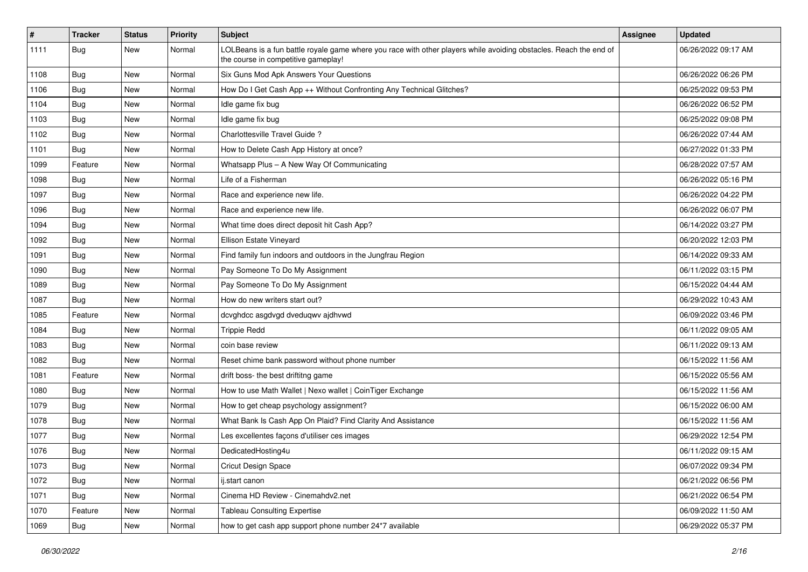| #    | <b>Tracker</b> | <b>Status</b> | <b>Priority</b> | Subject                                                                                                                                                  | Assignee | <b>Updated</b>      |
|------|----------------|---------------|-----------------|----------------------------------------------------------------------------------------------------------------------------------------------------------|----------|---------------------|
| 1111 | <b>Bug</b>     | New           | Normal          | LOLBeans is a fun battle royale game where you race with other players while avoiding obstacles. Reach the end of<br>the course in competitive gameplay! |          | 06/26/2022 09:17 AM |
| 1108 | Bug            | <b>New</b>    | Normal          | Six Guns Mod Apk Answers Your Questions                                                                                                                  |          | 06/26/2022 06:26 PM |
| 1106 | Bug            | New           | Normal          | How Do I Get Cash App ++ Without Confronting Any Technical Glitches?                                                                                     |          | 06/25/2022 09:53 PM |
| 1104 | Bug            | New           | Normal          | Idle game fix bug                                                                                                                                        |          | 06/26/2022 06:52 PM |
| 1103 | Bug            | New           | Normal          | Idle game fix bug                                                                                                                                        |          | 06/25/2022 09:08 PM |
| 1102 | <b>Bug</b>     | New           | Normal          | Charlottesville Travel Guide ?                                                                                                                           |          | 06/26/2022 07:44 AM |
| 1101 | Bug            | New           | Normal          | How to Delete Cash App History at once?                                                                                                                  |          | 06/27/2022 01:33 PM |
| 1099 | Feature        | New           | Normal          | Whatsapp Plus - A New Way Of Communicating                                                                                                               |          | 06/28/2022 07:57 AM |
| 1098 | <b>Bug</b>     | New           | Normal          | Life of a Fisherman                                                                                                                                      |          | 06/26/2022 05:16 PM |
| 1097 | Bug            | New           | Normal          | Race and experience new life.                                                                                                                            |          | 06/26/2022 04:22 PM |
| 1096 | Bug            | New           | Normal          | Race and experience new life.                                                                                                                            |          | 06/26/2022 06:07 PM |
| 1094 | Bug            | New           | Normal          | What time does direct deposit hit Cash App?                                                                                                              |          | 06/14/2022 03:27 PM |
| 1092 | <b>Bug</b>     | New           | Normal          | Ellison Estate Vineyard                                                                                                                                  |          | 06/20/2022 12:03 PM |
| 1091 | <b>Bug</b>     | New           | Normal          | Find family fun indoors and outdoors in the Jungfrau Region                                                                                              |          | 06/14/2022 09:33 AM |
| 1090 | Bug            | New           | Normal          | Pay Someone To Do My Assignment                                                                                                                          |          | 06/11/2022 03:15 PM |
| 1089 | Bug            | New           | Normal          | Pay Someone To Do My Assignment                                                                                                                          |          | 06/15/2022 04:44 AM |
| 1087 | Bug            | New           | Normal          | How do new writers start out?                                                                                                                            |          | 06/29/2022 10:43 AM |
| 1085 | Feature        | New           | Normal          | dcvghdcc asgdvgd dveduqwv ajdhvwd                                                                                                                        |          | 06/09/2022 03:46 PM |
| 1084 | Bug            | New           | Normal          | <b>Trippie Redd</b>                                                                                                                                      |          | 06/11/2022 09:05 AM |
| 1083 | Bug            | New           | Normal          | coin base review                                                                                                                                         |          | 06/11/2022 09:13 AM |
| 1082 | Bug            | New           | Normal          | Reset chime bank password without phone number                                                                                                           |          | 06/15/2022 11:56 AM |
| 1081 | Feature        | New           | Normal          | drift boss- the best driftitng game                                                                                                                      |          | 06/15/2022 05:56 AM |
| 1080 | <b>Bug</b>     | New           | Normal          | How to use Math Wallet   Nexo wallet   CoinTiger Exchange                                                                                                |          | 06/15/2022 11:56 AM |
| 1079 | <b>Bug</b>     | New           | Normal          | How to get cheap psychology assignment?                                                                                                                  |          | 06/15/2022 06:00 AM |
| 1078 | Bug            | New           | Normal          | What Bank Is Cash App On Plaid? Find Clarity And Assistance                                                                                              |          | 06/15/2022 11:56 AM |
| 1077 | <b>Bug</b>     | New           | Normal          | Les excellentes façons d'utiliser ces images                                                                                                             |          | 06/29/2022 12:54 PM |
| 1076 | <b>Bug</b>     | New           | Normal          | DedicatedHosting4u                                                                                                                                       |          | 06/11/2022 09:15 AM |
| 1073 | <b>Bug</b>     | New           | Normal          | <b>Cricut Design Space</b>                                                                                                                               |          | 06/07/2022 09:34 PM |
| 1072 | Bug            | New           | Normal          | ij.start canon                                                                                                                                           |          | 06/21/2022 06:56 PM |
| 1071 | Bug            | New           | Normal          | Cinema HD Review - Cinemahdv2.net                                                                                                                        |          | 06/21/2022 06:54 PM |
| 1070 | Feature        | New           | Normal          | <b>Tableau Consulting Expertise</b>                                                                                                                      |          | 06/09/2022 11:50 AM |
| 1069 | <b>Bug</b>     | New           | Normal          | how to get cash app support phone number 24*7 available                                                                                                  |          | 06/29/2022 05:37 PM |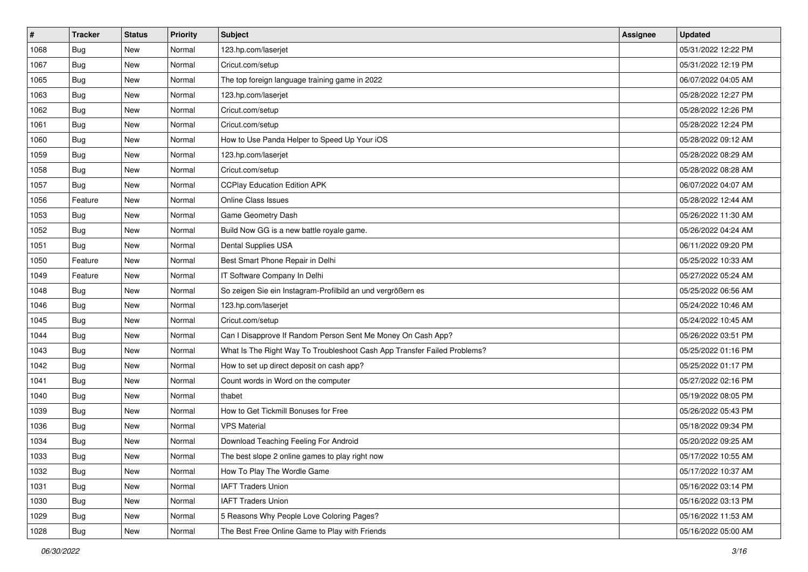| #    | <b>Tracker</b> | <b>Status</b> | <b>Priority</b> | Subject                                                                  | Assignee | <b>Updated</b>      |
|------|----------------|---------------|-----------------|--------------------------------------------------------------------------|----------|---------------------|
| 1068 | <b>Bug</b>     | New           | Normal          | 123.hp.com/laserjet                                                      |          | 05/31/2022 12:22 PM |
| 1067 | <b>Bug</b>     | New           | Normal          | Cricut.com/setup                                                         |          | 05/31/2022 12:19 PM |
| 1065 | Bug            | New           | Normal          | The top foreign language training game in 2022                           |          | 06/07/2022 04:05 AM |
| 1063 | Bug            | New           | Normal          | 123.hp.com/laserjet                                                      |          | 05/28/2022 12:27 PM |
| 1062 | <b>Bug</b>     | New           | Normal          | Cricut.com/setup                                                         |          | 05/28/2022 12:26 PM |
| 1061 | Bug            | New           | Normal          | Cricut.com/setup                                                         |          | 05/28/2022 12:24 PM |
| 1060 | Bug            | New           | Normal          | How to Use Panda Helper to Speed Up Your iOS                             |          | 05/28/2022 09:12 AM |
| 1059 | <b>Bug</b>     | New           | Normal          | 123.hp.com/laserjet                                                      |          | 05/28/2022 08:29 AM |
| 1058 | Bug            | New           | Normal          | Cricut.com/setup                                                         |          | 05/28/2022 08:28 AM |
| 1057 | Bug            | New           | Normal          | <b>CCPlay Education Edition APK</b>                                      |          | 06/07/2022 04:07 AM |
| 1056 | Feature        | New           | Normal          | <b>Online Class Issues</b>                                               |          | 05/28/2022 12:44 AM |
| 1053 | <b>Bug</b>     | New           | Normal          | Game Geometry Dash                                                       |          | 05/26/2022 11:30 AM |
| 1052 | Bug            | New           | Normal          | Build Now GG is a new battle royale game.                                |          | 05/26/2022 04:24 AM |
| 1051 | <b>Bug</b>     | New           | Normal          | Dental Supplies USA                                                      |          | 06/11/2022 09:20 PM |
| 1050 | Feature        | New           | Normal          | Best Smart Phone Repair in Delhi                                         |          | 05/25/2022 10:33 AM |
| 1049 | Feature        | New           | Normal          | IT Software Company In Delhi                                             |          | 05/27/2022 05:24 AM |
| 1048 | <b>Bug</b>     | New           | Normal          | So zeigen Sie ein Instagram-Profilbild an und vergrößern es              |          | 05/25/2022 06:56 AM |
| 1046 | Bug            | New           | Normal          | 123.hp.com/laserjet                                                      |          | 05/24/2022 10:46 AM |
| 1045 | <b>Bug</b>     | New           | Normal          | Cricut.com/setup                                                         |          | 05/24/2022 10:45 AM |
| 1044 | Bug            | New           | Normal          | Can I Disapprove If Random Person Sent Me Money On Cash App?             |          | 05/26/2022 03:51 PM |
| 1043 | Bug            | New           | Normal          | What Is The Right Way To Troubleshoot Cash App Transfer Failed Problems? |          | 05/25/2022 01:16 PM |
| 1042 | Bug            | New           | Normal          | How to set up direct deposit on cash app?                                |          | 05/25/2022 01:17 PM |
| 1041 | Bug            | New           | Normal          | Count words in Word on the computer                                      |          | 05/27/2022 02:16 PM |
| 1040 | <b>Bug</b>     | New           | Normal          | thabet                                                                   |          | 05/19/2022 08:05 PM |
| 1039 | Bug            | New           | Normal          | How to Get Tickmill Bonuses for Free                                     |          | 05/26/2022 05:43 PM |
| 1036 | Bug            | New           | Normal          | <b>VPS Material</b>                                                      |          | 05/18/2022 09:34 PM |
| 1034 | <b>Bug</b>     | New           | Normal          | Download Teaching Feeling For Android                                    |          | 05/20/2022 09:25 AM |
| 1033 | <b>Bug</b>     | New           | Normal          | The best slope 2 online games to play right now                          |          | 05/17/2022 10:55 AM |
| 1032 | <b>Bug</b>     | New           | Normal          | How To Play The Wordle Game                                              |          | 05/17/2022 10:37 AM |
| 1031 | <b>Bug</b>     | New           | Normal          | <b>IAFT Traders Union</b>                                                |          | 05/16/2022 03:14 PM |
| 1030 | <b>Bug</b>     | New           | Normal          | <b>IAFT Traders Union</b>                                                |          | 05/16/2022 03:13 PM |
| 1029 | Bug            | New           | Normal          | 5 Reasons Why People Love Coloring Pages?                                |          | 05/16/2022 11:53 AM |
| 1028 | <b>Bug</b>     | New           | Normal          | The Best Free Online Game to Play with Friends                           |          | 05/16/2022 05:00 AM |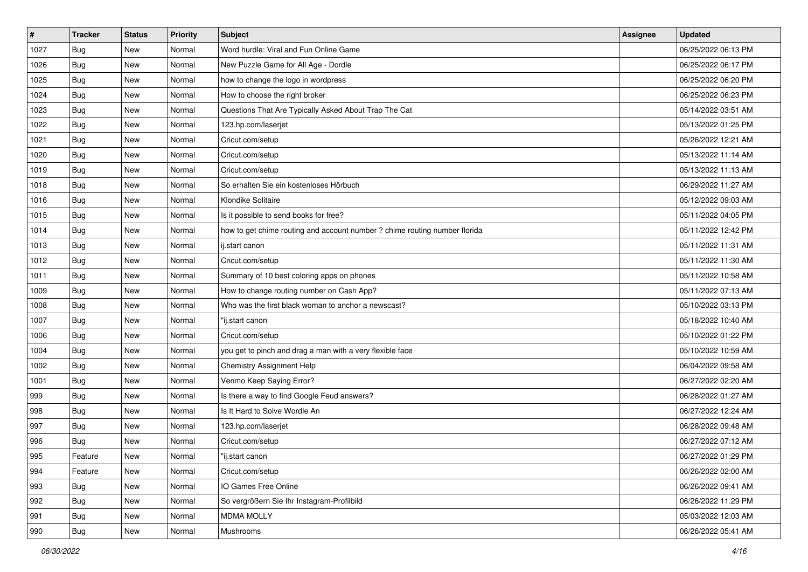| $\sharp$ | <b>Tracker</b> | <b>Status</b> | Priority | Subject                                                                    | <b>Assignee</b> | <b>Updated</b>      |
|----------|----------------|---------------|----------|----------------------------------------------------------------------------|-----------------|---------------------|
| 1027     | <b>Bug</b>     | New           | Normal   | Word hurdle: Viral and Fun Online Game                                     |                 | 06/25/2022 06:13 PM |
| 1026     | <b>Bug</b>     | New           | Normal   | New Puzzle Game for All Age - Dordle                                       |                 | 06/25/2022 06:17 PM |
| 1025     | Bug            | New           | Normal   | how to change the logo in wordpress                                        |                 | 06/25/2022 06:20 PM |
| 1024     | <b>Bug</b>     | New           | Normal   | How to choose the right broker                                             |                 | 06/25/2022 06:23 PM |
| 1023     | Bug            | New           | Normal   | Questions That Are Typically Asked About Trap The Cat                      |                 | 05/14/2022 03:51 AM |
| 1022     | <b>Bug</b>     | New           | Normal   | 123.hp.com/laserjet                                                        |                 | 05/13/2022 01:25 PM |
| 1021     | <b>Bug</b>     | New           | Normal   | Cricut.com/setup                                                           |                 | 05/26/2022 12:21 AM |
| 1020     | Bug            | New           | Normal   | Cricut.com/setup                                                           |                 | 05/13/2022 11:14 AM |
| 1019     | <b>Bug</b>     | New           | Normal   | Cricut.com/setup                                                           |                 | 05/13/2022 11:13 AM |
| 1018     | Bug            | New           | Normal   | So erhalten Sie ein kostenloses Hörbuch                                    |                 | 06/29/2022 11:27 AM |
| 1016     | <b>Bug</b>     | New           | Normal   | Klondike Solitaire                                                         |                 | 05/12/2022 09:03 AM |
| 1015     | <b>Bug</b>     | New           | Normal   | Is it possible to send books for free?                                     |                 | 05/11/2022 04:05 PM |
| 1014     | Bug            | New           | Normal   | how to get chime routing and account number ? chime routing number florida |                 | 05/11/2022 12:42 PM |
| 1013     | Bug            | New           | Normal   | ij.start canon                                                             |                 | 05/11/2022 11:31 AM |
| 1012     | Bug            | New           | Normal   | Cricut.com/setup                                                           |                 | 05/11/2022 11:30 AM |
| 1011     | Bug            | New           | Normal   | Summary of 10 best coloring apps on phones                                 |                 | 05/11/2022 10:58 AM |
| 1009     | <b>Bug</b>     | New           | Normal   | How to change routing number on Cash App?                                  |                 | 05/11/2022 07:13 AM |
| 1008     | Bug            | New           | Normal   | Who was the first black woman to anchor a newscast?                        |                 | 05/10/2022 03:13 PM |
| 1007     | Bug            | New           | Normal   | 'ij.start canon                                                            |                 | 05/18/2022 10:40 AM |
| 1006     | <b>Bug</b>     | New           | Normal   | Cricut.com/setup                                                           |                 | 05/10/2022 01:22 PM |
| 1004     | Bug            | New           | Normal   | you get to pinch and drag a man with a very flexible face                  |                 | 05/10/2022 10:59 AM |
| 1002     | <b>Bug</b>     | New           | Normal   | Chemistry Assignment Help                                                  |                 | 06/04/2022 09:58 AM |
| 1001     | Bug            | New           | Normal   | Venmo Keep Saying Error?                                                   |                 | 06/27/2022 02:20 AM |
| 999      | <b>Bug</b>     | New           | Normal   | Is there a way to find Google Feud answers?                                |                 | 06/28/2022 01:27 AM |
| 998      | Bug            | New           | Normal   | Is It Hard to Solve Wordle An                                              |                 | 06/27/2022 12:24 AM |
| 997      | <b>Bug</b>     | New           | Normal   | 123.hp.com/laserjet                                                        |                 | 06/28/2022 09:48 AM |
| 996      | <b>Bug</b>     | New           | Normal   | Cricut.com/setup                                                           |                 | 06/27/2022 07:12 AM |
| 995      | Feature        | New           | Normal   | "ij.start canon                                                            |                 | 06/27/2022 01:29 PM |
| 994      | Feature        | New           | Normal   | Cricut.com/setup                                                           |                 | 06/26/2022 02:00 AM |
| 993      | <b>Bug</b>     | New           | Normal   | IO Games Free Online                                                       |                 | 06/26/2022 09:41 AM |
| 992      | Bug            | New           | Normal   | So vergrößern Sie Ihr Instagram-Profilbild                                 |                 | 06/26/2022 11:29 PM |
| 991      | <b>Bug</b>     | New           | Normal   | <b>MDMA MOLLY</b>                                                          |                 | 05/03/2022 12:03 AM |
| 990      | <b>Bug</b>     | New           | Normal   | Mushrooms                                                                  |                 | 06/26/2022 05:41 AM |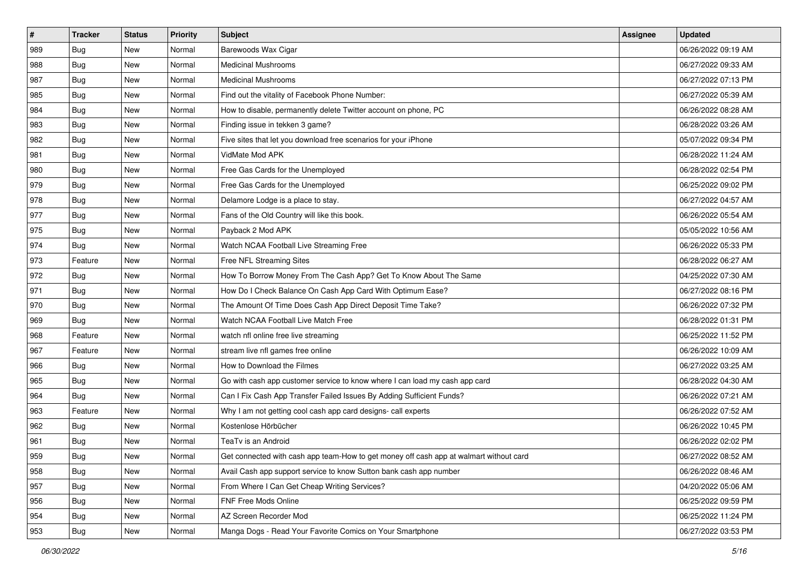| $\sharp$ | <b>Tracker</b> | <b>Status</b> | <b>Priority</b> | Subject                                                                                | <b>Assignee</b> | <b>Updated</b>      |
|----------|----------------|---------------|-----------------|----------------------------------------------------------------------------------------|-----------------|---------------------|
| 989      | <b>Bug</b>     | New           | Normal          | Barewoods Wax Cigar                                                                    |                 | 06/26/2022 09:19 AM |
| 988      | Bug            | New           | Normal          | <b>Medicinal Mushrooms</b>                                                             |                 | 06/27/2022 09:33 AM |
| 987      | Bug            | New           | Normal          | <b>Medicinal Mushrooms</b>                                                             |                 | 06/27/2022 07:13 PM |
| 985      | Bug            | New           | Normal          | Find out the vitality of Facebook Phone Number:                                        |                 | 06/27/2022 05:39 AM |
| 984      | Bug            | New           | Normal          | How to disable, permanently delete Twitter account on phone, PC                        |                 | 06/26/2022 08:28 AM |
| 983      | Bug            | New           | Normal          | Finding issue in tekken 3 game?                                                        |                 | 06/28/2022 03:26 AM |
| 982      | Bug            | New           | Normal          | Five sites that let you download free scenarios for your iPhone                        |                 | 05/07/2022 09:34 PM |
| 981      | <b>Bug</b>     | New           | Normal          | VidMate Mod APK                                                                        |                 | 06/28/2022 11:24 AM |
| 980      | Bug            | New           | Normal          | Free Gas Cards for the Unemployed                                                      |                 | 06/28/2022 02:54 PM |
| 979      | Bug            | New           | Normal          | Free Gas Cards for the Unemployed                                                      |                 | 06/25/2022 09:02 PM |
| 978      | <b>Bug</b>     | New           | Normal          | Delamore Lodge is a place to stay.                                                     |                 | 06/27/2022 04:57 AM |
| 977      | Bug            | New           | Normal          | Fans of the Old Country will like this book.                                           |                 | 06/26/2022 05:54 AM |
| 975      | Bug            | New           | Normal          | Payback 2 Mod APK                                                                      |                 | 05/05/2022 10:56 AM |
| 974      | Bug            | New           | Normal          | Watch NCAA Football Live Streaming Free                                                |                 | 06/26/2022 05:33 PM |
| 973      | Feature        | New           | Normal          | Free NFL Streaming Sites                                                               |                 | 06/28/2022 06:27 AM |
| 972      | Bug            | New           | Normal          | How To Borrow Money From The Cash App? Get To Know About The Same                      |                 | 04/25/2022 07:30 AM |
| 971      | Bug            | New           | Normal          | How Do I Check Balance On Cash App Card With Optimum Ease?                             |                 | 06/27/2022 08:16 PM |
| 970      | Bug            | <b>New</b>    | Normal          | The Amount Of Time Does Cash App Direct Deposit Time Take?                             |                 | 06/26/2022 07:32 PM |
| 969      | Bug            | New           | Normal          | Watch NCAA Football Live Match Free                                                    |                 | 06/28/2022 01:31 PM |
| 968      | Feature        | New           | Normal          | watch nfl online free live streaming                                                   |                 | 06/25/2022 11:52 PM |
| 967      | Feature        | New           | Normal          | stream live nfl games free online                                                      |                 | 06/26/2022 10:09 AM |
| 966      | Bug            | New           | Normal          | How to Download the Filmes                                                             |                 | 06/27/2022 03:25 AM |
| 965      | Bug            | <b>New</b>    | Normal          | Go with cash app customer service to know where I can load my cash app card            |                 | 06/28/2022 04:30 AM |
| 964      | <b>Bug</b>     | New           | Normal          | Can I Fix Cash App Transfer Failed Issues By Adding Sufficient Funds?                  |                 | 06/26/2022 07:21 AM |
| 963      | Feature        | New           | Normal          | Why I am not getting cool cash app card designs- call experts                          |                 | 06/26/2022 07:52 AM |
| 962      | Bug            | New           | Normal          | Kostenlose Hörbücher                                                                   |                 | 06/26/2022 10:45 PM |
| 961      | <b>Bug</b>     | New           | Normal          | TeaTv is an Android                                                                    |                 | 06/26/2022 02:02 PM |
| 959      | Bug            | New           | Normal          | Get connected with cash app team-How to get money off cash app at walmart without card |                 | 06/27/2022 08:52 AM |
| 958      | <b>Bug</b>     | New           | Normal          | Avail Cash app support service to know Sutton bank cash app number                     |                 | 06/26/2022 08:46 AM |
| 957      | <b>Bug</b>     | New           | Normal          | From Where I Can Get Cheap Writing Services?                                           |                 | 04/20/2022 05:06 AM |
| 956      | <b>Bug</b>     | New           | Normal          | FNF Free Mods Online                                                                   |                 | 06/25/2022 09:59 PM |
| 954      | <b>Bug</b>     | New           | Normal          | AZ Screen Recorder Mod                                                                 |                 | 06/25/2022 11:24 PM |
| 953      | <b>Bug</b>     | New           | Normal          | Manga Dogs - Read Your Favorite Comics on Your Smartphone                              |                 | 06/27/2022 03:53 PM |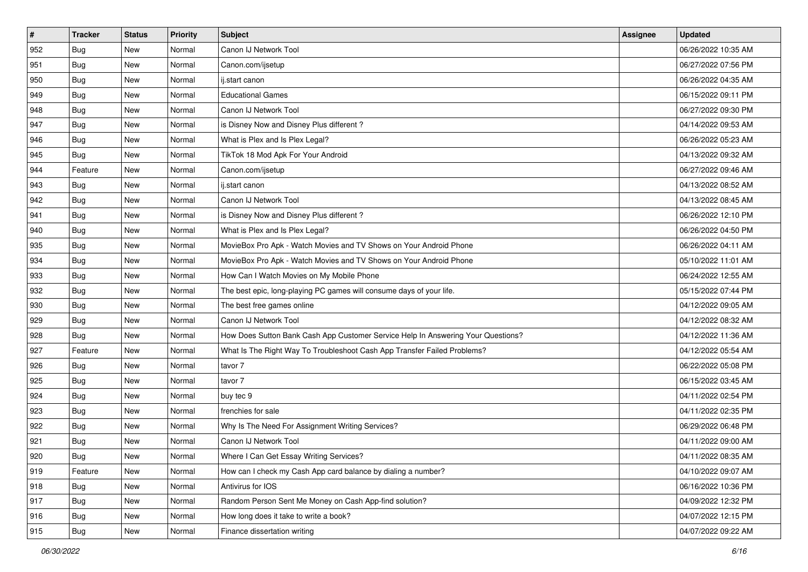| $\sharp$ | <b>Tracker</b> | <b>Status</b> | <b>Priority</b> | Subject                                                                          | <b>Assignee</b> | <b>Updated</b>      |
|----------|----------------|---------------|-----------------|----------------------------------------------------------------------------------|-----------------|---------------------|
| 952      | <b>Bug</b>     | New           | Normal          | Canon IJ Network Tool                                                            |                 | 06/26/2022 10:35 AM |
| 951      | Bug            | New           | Normal          | Canon.com/ijsetup                                                                |                 | 06/27/2022 07:56 PM |
| 950      | Bug            | New           | Normal          | ij.start canon                                                                   |                 | 06/26/2022 04:35 AM |
| 949      | <b>Bug</b>     | <b>New</b>    | Normal          | <b>Educational Games</b>                                                         |                 | 06/15/2022 09:11 PM |
| 948      | Bug            | New           | Normal          | Canon IJ Network Tool                                                            |                 | 06/27/2022 09:30 PM |
| 947      | <b>Bug</b>     | New           | Normal          | is Disney Now and Disney Plus different?                                         |                 | 04/14/2022 09:53 AM |
| 946      | Bug            | New           | Normal          | What is Plex and Is Plex Legal?                                                  |                 | 06/26/2022 05:23 AM |
| 945      | <b>Bug</b>     | New           | Normal          | TikTok 18 Mod Apk For Your Android                                               |                 | 04/13/2022 09:32 AM |
| 944      | Feature        | New           | Normal          | Canon.com/ijsetup                                                                |                 | 06/27/2022 09:46 AM |
| 943      | Bug            | New           | Normal          | ij.start canon                                                                   |                 | 04/13/2022 08:52 AM |
| 942      | Bug            | New           | Normal          | Canon IJ Network Tool                                                            |                 | 04/13/2022 08:45 AM |
| 941      | Bug            | New           | Normal          | is Disney Now and Disney Plus different?                                         |                 | 06/26/2022 12:10 PM |
| 940      | Bug            | <b>New</b>    | Normal          | What is Plex and Is Plex Legal?                                                  |                 | 06/26/2022 04:50 PM |
| 935      | <b>Bug</b>     | New           | Normal          | MovieBox Pro Apk - Watch Movies and TV Shows on Your Android Phone               |                 | 06/26/2022 04:11 AM |
| 934      | <b>Bug</b>     | New           | Normal          | MovieBox Pro Apk - Watch Movies and TV Shows on Your Android Phone               |                 | 05/10/2022 11:01 AM |
| 933      | Bug            | New           | Normal          | How Can I Watch Movies on My Mobile Phone                                        |                 | 06/24/2022 12:55 AM |
| 932      | <b>Bug</b>     | <b>New</b>    | Normal          | The best epic, long-playing PC games will consume days of your life.             |                 | 05/15/2022 07:44 PM |
| 930      | Bug            | New           | Normal          | The best free games online                                                       |                 | 04/12/2022 09:05 AM |
| 929      | <b>Bug</b>     | New           | Normal          | Canon IJ Network Tool                                                            |                 | 04/12/2022 08:32 AM |
| 928      | <b>Bug</b>     | New           | Normal          | How Does Sutton Bank Cash App Customer Service Help In Answering Your Questions? |                 | 04/12/2022 11:36 AM |
| 927      | Feature        | New           | Normal          | What Is The Right Way To Troubleshoot Cash App Transfer Failed Problems?         |                 | 04/12/2022 05:54 AM |
| 926      | Bug            | New           | Normal          | tavor 7                                                                          |                 | 06/22/2022 05:08 PM |
| 925      | Bug            | New           | Normal          | tavor 7                                                                          |                 | 06/15/2022 03:45 AM |
| 924      | <b>Bug</b>     | New           | Normal          | buy tec 9                                                                        |                 | 04/11/2022 02:54 PM |
| 923      | Bug            | New           | Normal          | frenchies for sale                                                               |                 | 04/11/2022 02:35 PM |
| 922      | Bug            | <b>New</b>    | Normal          | Why Is The Need For Assignment Writing Services?                                 |                 | 06/29/2022 06:48 PM |
| 921      | <b>Bug</b>     | New           | Normal          | Canon IJ Network Tool                                                            |                 | 04/11/2022 09:00 AM |
| 920      | <b>Bug</b>     | New           | Normal          | Where I Can Get Essay Writing Services?                                          |                 | 04/11/2022 08:35 AM |
| 919      | Feature        | New           | Normal          | How can I check my Cash App card balance by dialing a number?                    |                 | 04/10/2022 09:07 AM |
| 918      | <b>Bug</b>     | New           | Normal          | Antivirus for IOS                                                                |                 | 06/16/2022 10:36 PM |
| 917      | Bug            | New           | Normal          | Random Person Sent Me Money on Cash App-find solution?                           |                 | 04/09/2022 12:32 PM |
| 916      | Bug            | New           | Normal          | How long does it take to write a book?                                           |                 | 04/07/2022 12:15 PM |
| 915      | <b>Bug</b>     | New           | Normal          | Finance dissertation writing                                                     |                 | 04/07/2022 09:22 AM |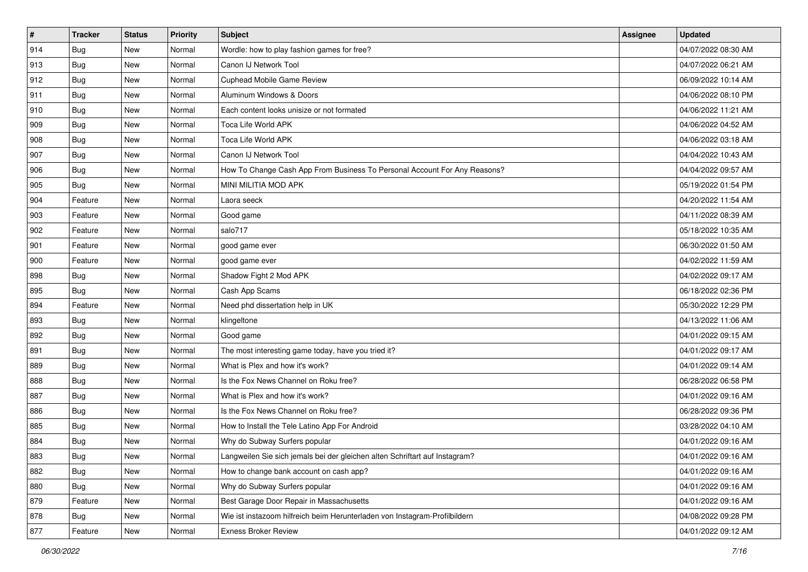| $\vert$ # | <b>Tracker</b> | <b>Status</b> | <b>Priority</b> | <b>Subject</b>                                                              | <b>Assignee</b> | <b>Updated</b>      |
|-----------|----------------|---------------|-----------------|-----------------------------------------------------------------------------|-----------------|---------------------|
| 914       | <b>Bug</b>     | New           | Normal          | Wordle: how to play fashion games for free?                                 |                 | 04/07/2022 08:30 AM |
| 913       | Bug            | New           | Normal          | Canon IJ Network Tool                                                       |                 | 04/07/2022 06:21 AM |
| 912       | Bug            | New           | Normal          | Cuphead Mobile Game Review                                                  |                 | 06/09/2022 10:14 AM |
| 911       | <b>Bug</b>     | <b>New</b>    | Normal          | Aluminum Windows & Doors                                                    |                 | 04/06/2022 08:10 PM |
| 910       | Bug            | New           | Normal          | Each content looks unisize or not formated                                  |                 | 04/06/2022 11:21 AM |
| 909       | <b>Bug</b>     | New           | Normal          | Toca Life World APK                                                         |                 | 04/06/2022 04:52 AM |
| 908       | Bug            | New           | Normal          | Toca Life World APK                                                         |                 | 04/06/2022 03:18 AM |
| 907       | <b>Bug</b>     | New           | Normal          | Canon IJ Network Tool                                                       |                 | 04/04/2022 10:43 AM |
| 906       | Bug            | New           | Normal          | How To Change Cash App From Business To Personal Account For Any Reasons?   |                 | 04/04/2022 09:57 AM |
| 905       | <b>Bug</b>     | New           | Normal          | MINI MILITIA MOD APK                                                        |                 | 05/19/2022 01:54 PM |
| 904       | Feature        | New           | Normal          | Laora seeck                                                                 |                 | 04/20/2022 11:54 AM |
| 903       | Feature        | New           | Normal          | Good game                                                                   |                 | 04/11/2022 08:39 AM |
| 902       | Feature        | New           | Normal          | salo717                                                                     |                 | 05/18/2022 10:35 AM |
| 901       | Feature        | New           | Normal          | good game ever                                                              |                 | 06/30/2022 01:50 AM |
| 900       | Feature        | New           | Normal          | good game ever                                                              |                 | 04/02/2022 11:59 AM |
| 898       | Bug            | New           | Normal          | Shadow Fight 2 Mod APK                                                      |                 | 04/02/2022 09:17 AM |
| 895       | <b>Bug</b>     | <b>New</b>    | Normal          | Cash App Scams                                                              |                 | 06/18/2022 02:36 PM |
| 894       | Feature        | New           | Normal          | Need phd dissertation help in UK                                            |                 | 05/30/2022 12:29 PM |
| 893       | <b>Bug</b>     | New           | Normal          | klingeltone                                                                 |                 | 04/13/2022 11:06 AM |
| 892       | Bug            | New           | Normal          | Good game                                                                   |                 | 04/01/2022 09:15 AM |
| 891       | <b>Bug</b>     | New           | Normal          | The most interesting game today, have you tried it?                         |                 | 04/01/2022 09:17 AM |
| 889       | Bug            | New           | Normal          | What is Plex and how it's work?                                             |                 | 04/01/2022 09:14 AM |
| 888       | Bug            | New           | Normal          | Is the Fox News Channel on Roku free?                                       |                 | 06/28/2022 06:58 PM |
| 887       | <b>Bug</b>     | New           | Normal          | What is Plex and how it's work?                                             |                 | 04/01/2022 09:16 AM |
| 886       | <b>Bug</b>     | New           | Normal          | Is the Fox News Channel on Roku free?                                       |                 | 06/28/2022 09:36 PM |
| 885       | Bug            | <b>New</b>    | Normal          | How to Install the Tele Latino App For Android                              |                 | 03/28/2022 04:10 AM |
| 884       | <b>Bug</b>     | New           | Normal          | Why do Subway Surfers popular                                               |                 | 04/01/2022 09:16 AM |
| 883       | <b>Bug</b>     | New           | Normal          | Langweilen Sie sich jemals bei der gleichen alten Schriftart auf Instagram? |                 | 04/01/2022 09:16 AM |
| 882       | <b>Bug</b>     | New           | Normal          | How to change bank account on cash app?                                     |                 | 04/01/2022 09:16 AM |
| 880       | <b>Bug</b>     | New           | Normal          | Why do Subway Surfers popular                                               |                 | 04/01/2022 09:16 AM |
| 879       | Feature        | New           | Normal          | Best Garage Door Repair in Massachusetts                                    |                 | 04/01/2022 09:16 AM |
| 878       | <b>Bug</b>     | New           | Normal          | Wie ist instazoom hilfreich beim Herunterladen von Instagram-Profilbildern  |                 | 04/08/2022 09:28 PM |
| 877       | Feature        | New           | Normal          | <b>Exness Broker Review</b>                                                 |                 | 04/01/2022 09:12 AM |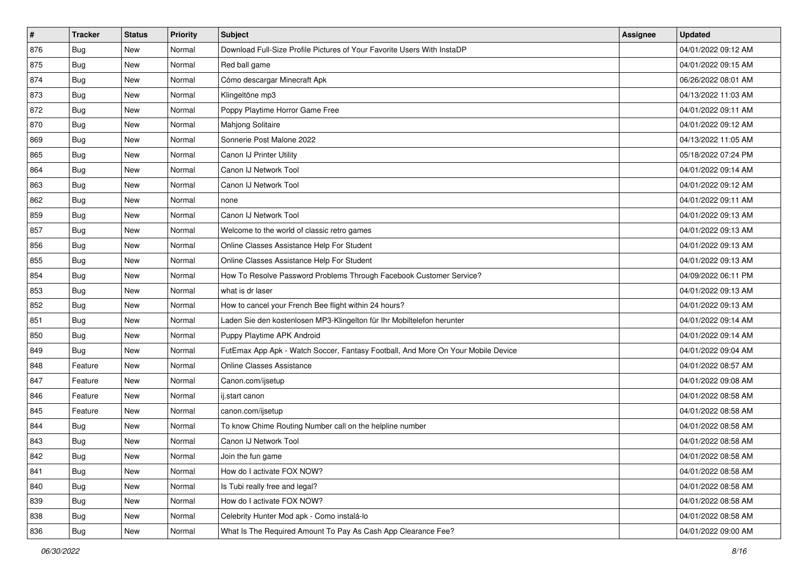| $\vert$ # | <b>Tracker</b> | <b>Status</b> | <b>Priority</b> | Subject                                                                          | <b>Assignee</b> | <b>Updated</b>      |
|-----------|----------------|---------------|-----------------|----------------------------------------------------------------------------------|-----------------|---------------------|
| 876       | <b>Bug</b>     | New           | Normal          | Download Full-Size Profile Pictures of Your Favorite Users With InstaDP          |                 | 04/01/2022 09:12 AM |
| 875       | Bug            | New           | Normal          | Red ball game                                                                    |                 | 04/01/2022 09:15 AM |
| 874       | Bug            | New           | Normal          | Cómo descargar Minecraft Apk                                                     |                 | 06/26/2022 08:01 AM |
| 873       | Bug            | New           | Normal          | Klingeltöne mp3                                                                  |                 | 04/13/2022 11:03 AM |
| 872       | <b>Bug</b>     | New           | Normal          | Poppy Playtime Horror Game Free                                                  |                 | 04/01/2022 09:11 AM |
| 870       | Bug            | New           | Normal          | Mahjong Solitaire                                                                |                 | 04/01/2022 09:12 AM |
| 869       | <b>Bug</b>     | New           | Normal          | Sonnerie Post Malone 2022                                                        |                 | 04/13/2022 11:05 AM |
| 865       | Bug            | <b>New</b>    | Normal          | Canon IJ Printer Utility                                                         |                 | 05/18/2022 07:24 PM |
| 864       | Bug            | New           | Normal          | Canon IJ Network Tool                                                            |                 | 04/01/2022 09:14 AM |
| 863       | Bug            | New           | Normal          | Canon IJ Network Tool                                                            |                 | 04/01/2022 09:12 AM |
| 862       | <b>Bug</b>     | New           | Normal          | none                                                                             |                 | 04/01/2022 09:11 AM |
| 859       | <b>Bug</b>     | <b>New</b>    | Normal          | Canon IJ Network Tool                                                            |                 | 04/01/2022 09:13 AM |
| 857       | Bug            | New           | Normal          | Welcome to the world of classic retro games                                      |                 | 04/01/2022 09:13 AM |
| 856       | <b>Bug</b>     | New           | Normal          | Online Classes Assistance Help For Student                                       |                 | 04/01/2022 09:13 AM |
| 855       | Bug            | New           | Normal          | Online Classes Assistance Help For Student                                       |                 | 04/01/2022 09:13 AM |
| 854       | Bug            | New           | Normal          | How To Resolve Password Problems Through Facebook Customer Service?              |                 | 04/09/2022 06:11 PM |
| 853       | Bug            | New           | Normal          | what is dr laser                                                                 |                 | 04/01/2022 09:13 AM |
| 852       | Bug            | New           | Normal          | How to cancel your French Bee flight within 24 hours?                            |                 | 04/01/2022 09:13 AM |
| 851       | <b>Bug</b>     | New           | Normal          | Laden Sie den kostenlosen MP3-Klingelton für Ihr Mobiltelefon herunter           |                 | 04/01/2022 09:14 AM |
| 850       | <b>Bug</b>     | New           | Normal          | Puppy Playtime APK Android                                                       |                 | 04/01/2022 09:14 AM |
| 849       | <b>Bug</b>     | New           | Normal          | FutEmax App Apk - Watch Soccer, Fantasy Football, And More On Your Mobile Device |                 | 04/01/2022 09:04 AM |
| 848       | Feature        | New           | Normal          | <b>Online Classes Assistance</b>                                                 |                 | 04/01/2022 08:57 AM |
| 847       | Feature        | New           | Normal          | Canon.com/ijsetup                                                                |                 | 04/01/2022 09:08 AM |
| 846       | Feature        | New           | Normal          | ij.start canon                                                                   |                 | 04/01/2022 08:58 AM |
| 845       | Feature        | New           | Normal          | canon.com/ijsetup                                                                |                 | 04/01/2022 08:58 AM |
| 844       | Bug            | New           | Normal          | To know Chime Routing Number call on the helpline number                         |                 | 04/01/2022 08:58 AM |
| 843       | <b>Bug</b>     | New           | Normal          | Canon IJ Network Tool                                                            |                 | 04/01/2022 08:58 AM |
| 842       | <b>Bug</b>     | New           | Normal          | Join the fun game                                                                |                 | 04/01/2022 08:58 AM |
| 841       | Bug            | New           | Normal          | How do I activate FOX NOW?                                                       |                 | 04/01/2022 08:58 AM |
| 840       | <b>Bug</b>     | New           | Normal          | Is Tubi really free and legal?                                                   |                 | 04/01/2022 08:58 AM |
| 839       | <b>Bug</b>     | New           | Normal          | How do I activate FOX NOW?                                                       |                 | 04/01/2022 08:58 AM |
| 838       | <b>Bug</b>     | New           | Normal          | Celebrity Hunter Mod apk - Como instalá-lo                                       |                 | 04/01/2022 08:58 AM |
| 836       | <b>Bug</b>     | New           | Normal          | What Is The Required Amount To Pay As Cash App Clearance Fee?                    |                 | 04/01/2022 09:00 AM |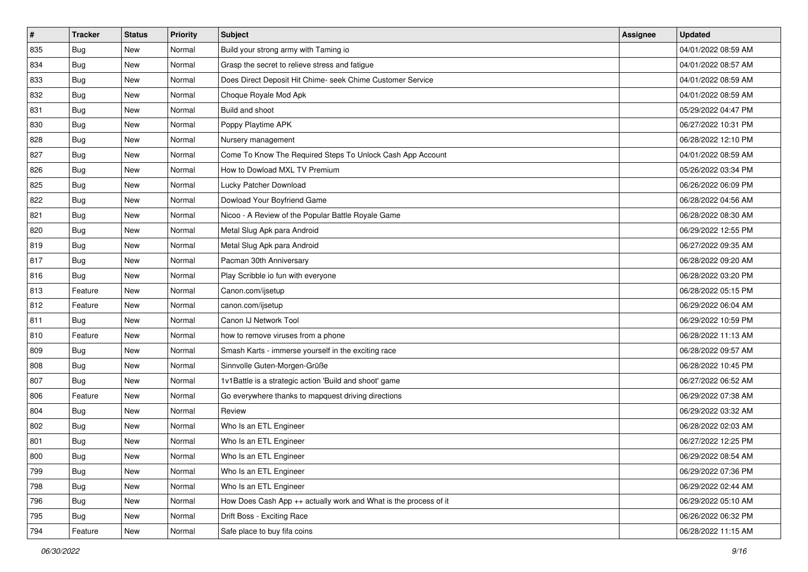| $\sharp$ | <b>Tracker</b> | <b>Status</b> | Priority | Subject                                                          | Assignee | <b>Updated</b>      |
|----------|----------------|---------------|----------|------------------------------------------------------------------|----------|---------------------|
| 835      | <b>Bug</b>     | New           | Normal   | Build your strong army with Taming io                            |          | 04/01/2022 08:59 AM |
| 834      | <b>Bug</b>     | New           | Normal   | Grasp the secret to relieve stress and fatigue                   |          | 04/01/2022 08:57 AM |
| 833      | Bug            | New           | Normal   | Does Direct Deposit Hit Chime- seek Chime Customer Service       |          | 04/01/2022 08:59 AM |
| 832      | <b>Bug</b>     | New           | Normal   | Choque Royale Mod Apk                                            |          | 04/01/2022 08:59 AM |
| 831      | Bug            | New           | Normal   | Build and shoot                                                  |          | 05/29/2022 04:47 PM |
| 830      | <b>Bug</b>     | New           | Normal   | Poppy Playtime APK                                               |          | 06/27/2022 10:31 PM |
| 828      | Bug            | New           | Normal   | Nursery management                                               |          | 06/28/2022 12:10 PM |
| 827      | <b>Bug</b>     | New           | Normal   | Come To Know The Required Steps To Unlock Cash App Account       |          | 04/01/2022 08:59 AM |
| 826      | Bug            | New           | Normal   | How to Dowload MXL TV Premium                                    |          | 05/26/2022 03:34 PM |
| 825      | Bug            | New           | Normal   | Lucky Patcher Download                                           |          | 06/26/2022 06:09 PM |
| 822      | <b>Bug</b>     | New           | Normal   | Dowload Your Boyfriend Game                                      |          | 06/28/2022 04:56 AM |
| 821      | Bug            | New           | Normal   | Nicoo - A Review of the Popular Battle Royale Game               |          | 06/28/2022 08:30 AM |
| 820      | Bug            | New           | Normal   | Metal Slug Apk para Android                                      |          | 06/29/2022 12:55 PM |
| 819      | Bug            | New           | Normal   | Metal Slug Apk para Android                                      |          | 06/27/2022 09:35 AM |
| 817      | <b>Bug</b>     | New           | Normal   | Pacman 30th Anniversary                                          |          | 06/28/2022 09:20 AM |
| 816      | Bug            | New           | Normal   | Play Scribble io fun with everyone                               |          | 06/28/2022 03:20 PM |
| 813      | Feature        | New           | Normal   | Canon.com/ijsetup                                                |          | 06/28/2022 05:15 PM |
| 812      | Feature        | New           | Normal   | canon.com/ijsetup                                                |          | 06/29/2022 06:04 AM |
| 811      | Bug            | New           | Normal   | Canon IJ Network Tool                                            |          | 06/29/2022 10:59 PM |
| 810      | Feature        | New           | Normal   | how to remove viruses from a phone                               |          | 06/28/2022 11:13 AM |
| 809      | <b>Bug</b>     | New           | Normal   | Smash Karts - immerse yourself in the exciting race              |          | 06/28/2022 09:57 AM |
| 808      | Bug            | New           | Normal   | Sinnvolle Guten-Morgen-Grüße                                     |          | 06/28/2022 10:45 PM |
| 807      | Bug            | New           | Normal   | 1v1Battle is a strategic action 'Build and shoot' game           |          | 06/27/2022 06:52 AM |
| 806      | Feature        | New           | Normal   | Go everywhere thanks to mapquest driving directions              |          | 06/29/2022 07:38 AM |
| 804      | Bug            | New           | Normal   | Review                                                           |          | 06/29/2022 03:32 AM |
| 802      | Bug            | New           | Normal   | Who Is an ETL Engineer                                           |          | 06/28/2022 02:03 AM |
| 801      | <b>Bug</b>     | New           | Normal   | Who Is an ETL Engineer                                           |          | 06/27/2022 12:25 PM |
| 800      | Bug            | New           | Normal   | Who Is an ETL Engineer                                           |          | 06/29/2022 08:54 AM |
| 799      | <b>Bug</b>     | New           | Normal   | Who Is an ETL Engineer                                           |          | 06/29/2022 07:36 PM |
| 798      | <b>Bug</b>     | New           | Normal   | Who Is an ETL Engineer                                           |          | 06/29/2022 02:44 AM |
| 796      | <b>Bug</b>     | New           | Normal   | How Does Cash App ++ actually work and What is the process of it |          | 06/29/2022 05:10 AM |
| 795      | <b>Bug</b>     | New           | Normal   | Drift Boss - Exciting Race                                       |          | 06/26/2022 06:32 PM |
| 794      | Feature        | New           | Normal   | Safe place to buy fifa coins                                     |          | 06/28/2022 11:15 AM |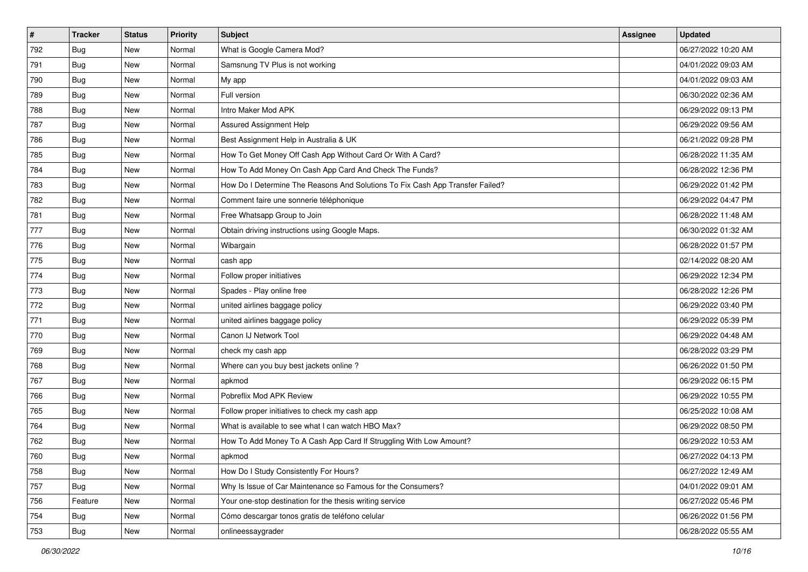| $\vert$ # | <b>Tracker</b> | <b>Status</b> | <b>Priority</b> | Subject                                                                       | <b>Assignee</b> | <b>Updated</b>      |
|-----------|----------------|---------------|-----------------|-------------------------------------------------------------------------------|-----------------|---------------------|
| 792       | <b>Bug</b>     | New           | Normal          | What is Google Camera Mod?                                                    |                 | 06/27/2022 10:20 AM |
| 791       | <b>Bug</b>     | New           | Normal          | Samsnung TV Plus is not working                                               |                 | 04/01/2022 09:03 AM |
| 790       | Bug            | New           | Normal          | My app                                                                        |                 | 04/01/2022 09:03 AM |
| 789       | <b>Bug</b>     | New           | Normal          | Full version                                                                  |                 | 06/30/2022 02:36 AM |
| 788       | Bug            | New           | Normal          | Intro Maker Mod APK                                                           |                 | 06/29/2022 09:13 PM |
| 787       | Bug            | New           | Normal          | Assured Assignment Help                                                       |                 | 06/29/2022 09:56 AM |
| 786       | <b>Bug</b>     | New           | Normal          | Best Assignment Help in Australia & UK                                        |                 | 06/21/2022 09:28 PM |
| 785       | <b>Bug</b>     | New           | Normal          | How To Get Money Off Cash App Without Card Or With A Card?                    |                 | 06/28/2022 11:35 AM |
| 784       | <b>Bug</b>     | New           | Normal          | How To Add Money On Cash App Card And Check The Funds?                        |                 | 06/28/2022 12:36 PM |
| 783       | Bug            | New           | Normal          | How Do I Determine The Reasons And Solutions To Fix Cash App Transfer Failed? |                 | 06/29/2022 01:42 PM |
| 782       | <b>Bug</b>     | New           | Normal          | Comment faire une sonnerie téléphonique                                       |                 | 06/29/2022 04:47 PM |
| 781       | <b>Bug</b>     | New           | Normal          | Free Whatsapp Group to Join                                                   |                 | 06/28/2022 11:48 AM |
| 777       | Bug            | New           | Normal          | Obtain driving instructions using Google Maps.                                |                 | 06/30/2022 01:32 AM |
| 776       | Bug            | New           | Normal          | Wibargain                                                                     |                 | 06/28/2022 01:57 PM |
| 775       | <b>Bug</b>     | New           | Normal          | cash app                                                                      |                 | 02/14/2022 08:20 AM |
| 774       | <b>Bug</b>     | New           | Normal          | Follow proper initiatives                                                     |                 | 06/29/2022 12:34 PM |
| 773       | <b>Bug</b>     | New           | Normal          | Spades - Play online free                                                     |                 | 06/28/2022 12:26 PM |
| 772       | Bug            | New           | Normal          | united airlines baggage policy                                                |                 | 06/29/2022 03:40 PM |
| 771       | <b>Bug</b>     | New           | Normal          | united airlines baggage policy                                                |                 | 06/29/2022 05:39 PM |
| 770       | <b>Bug</b>     | New           | Normal          | Canon IJ Network Tool                                                         |                 | 06/29/2022 04:48 AM |
| 769       | Bug            | New           | Normal          | check my cash app                                                             |                 | 06/28/2022 03:29 PM |
| 768       | <b>Bug</b>     | New           | Normal          | Where can you buy best jackets online?                                        |                 | 06/26/2022 01:50 PM |
| 767       | <b>Bug</b>     | New           | Normal          | apkmod                                                                        |                 | 06/29/2022 06:15 PM |
| 766       | <b>Bug</b>     | New           | Normal          | Pobreflix Mod APK Review                                                      |                 | 06/29/2022 10:55 PM |
| 765       | <b>Bug</b>     | New           | Normal          | Follow proper initiatives to check my cash app                                |                 | 06/25/2022 10:08 AM |
| 764       | <b>Bug</b>     | New           | Normal          | What is available to see what I can watch HBO Max?                            |                 | 06/29/2022 08:50 PM |
| 762       | <b>Bug</b>     | New           | Normal          | How To Add Money To A Cash App Card If Struggling With Low Amount?            |                 | 06/29/2022 10:53 AM |
| 760       | I Bug          | New           | Normal          | apkmod                                                                        |                 | 06/27/2022 04:13 PM |
| 758       | <b>Bug</b>     | New           | Normal          | How Do I Study Consistently For Hours?                                        |                 | 06/27/2022 12:49 AM |
| 757       | <b>Bug</b>     | New           | Normal          | Why Is Issue of Car Maintenance so Famous for the Consumers?                  |                 | 04/01/2022 09:01 AM |
| 756       | Feature        | New           | Normal          | Your one-stop destination for the thesis writing service                      |                 | 06/27/2022 05:46 PM |
| 754       | <b>Bug</b>     | New           | Normal          | Cómo descargar tonos gratis de teléfono celular                               |                 | 06/26/2022 01:56 PM |
| 753       | Bug            | New           | Normal          | onlineessaygrader                                                             |                 | 06/28/2022 05:55 AM |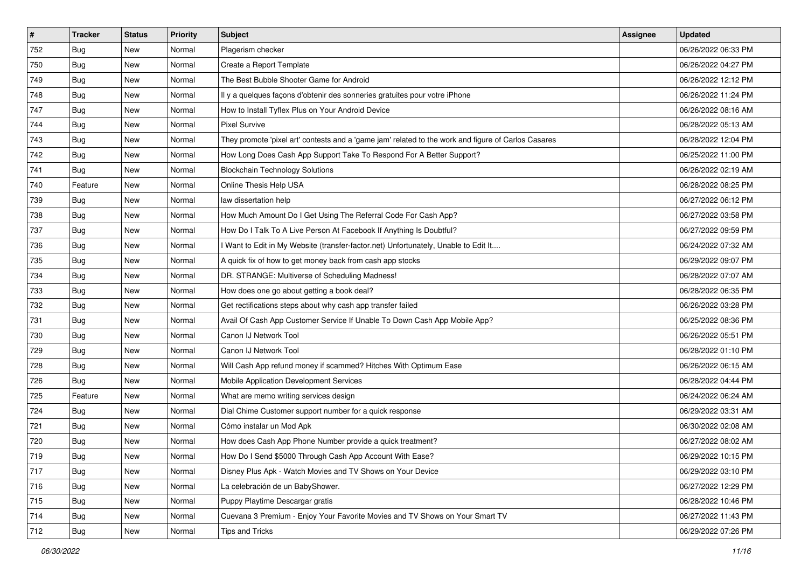| $\vert$ # | <b>Tracker</b> | <b>Status</b> | <b>Priority</b> | Subject                                                                                             | Assignee | <b>Updated</b>      |
|-----------|----------------|---------------|-----------------|-----------------------------------------------------------------------------------------------------|----------|---------------------|
| 752       | <b>Bug</b>     | New           | Normal          | Plagerism checker                                                                                   |          | 06/26/2022 06:33 PM |
| 750       | Bug            | New           | Normal          | Create a Report Template                                                                            |          | 06/26/2022 04:27 PM |
| 749       | <b>Bug</b>     | New           | Normal          | The Best Bubble Shooter Game for Android                                                            |          | 06/26/2022 12:12 PM |
| 748       | <b>Bug</b>     | New           | Normal          | Il y a quelques façons d'obtenir des sonneries gratuites pour votre iPhone                          |          | 06/26/2022 11:24 PM |
| 747       | <b>Bug</b>     | New           | Normal          | How to Install Tyflex Plus on Your Android Device                                                   |          | 06/26/2022 08:16 AM |
| 744       | Bug            | New           | Normal          | <b>Pixel Survive</b>                                                                                |          | 06/28/2022 05:13 AM |
| 743       | <b>Bug</b>     | New           | Normal          | They promote 'pixel art' contests and a 'game jam' related to the work and figure of Carlos Casares |          | 06/28/2022 12:04 PM |
| 742       | Bug            | New           | Normal          | How Long Does Cash App Support Take To Respond For A Better Support?                                |          | 06/25/2022 11:00 PM |
| 741       | <b>Bug</b>     | New           | Normal          | <b>Blockchain Technology Solutions</b>                                                              |          | 06/26/2022 02:19 AM |
| 740       | Feature        | New           | Normal          | Online Thesis Help USA                                                                              |          | 06/28/2022 08:25 PM |
| 739       | <b>Bug</b>     | New           | Normal          | law dissertation help                                                                               |          | 06/27/2022 06:12 PM |
| 738       | <b>Bug</b>     | New           | Normal          | How Much Amount Do I Get Using The Referral Code For Cash App?                                      |          | 06/27/2022 03:58 PM |
| 737       | <b>Bug</b>     | New           | Normal          | How Do I Talk To A Live Person At Facebook If Anything Is Doubtful?                                 |          | 06/27/2022 09:59 PM |
| 736       | <b>Bug</b>     | New           | Normal          | I Want to Edit in My Website (transfer-factor.net) Unfortunately, Unable to Edit It                 |          | 06/24/2022 07:32 AM |
| 735       | <b>Bug</b>     | New           | Normal          | A quick fix of how to get money back from cash app stocks                                           |          | 06/29/2022 09:07 PM |
| 734       | <b>Bug</b>     | New           | Normal          | DR. STRANGE: Multiverse of Scheduling Madness!                                                      |          | 06/28/2022 07:07 AM |
| 733       | <b>Bug</b>     | New           | Normal          | How does one go about getting a book deal?                                                          |          | 06/28/2022 06:35 PM |
| 732       | <b>Bug</b>     | New           | Normal          | Get rectifications steps about why cash app transfer failed                                         |          | 06/26/2022 03:28 PM |
| 731       | <b>Bug</b>     | New           | Normal          | Avail Of Cash App Customer Service If Unable To Down Cash App Mobile App?                           |          | 06/25/2022 08:36 PM |
| 730       | <b>Bug</b>     | New           | Normal          | Canon IJ Network Tool                                                                               |          | 06/26/2022 05:51 PM |
| 729       | <b>Bug</b>     | New           | Normal          | Canon IJ Network Tool                                                                               |          | 06/28/2022 01:10 PM |
| 728       | <b>Bug</b>     | New           | Normal          | Will Cash App refund money if scammed? Hitches With Optimum Ease                                    |          | 06/26/2022 06:15 AM |
| 726       | Bug            | New           | Normal          | Mobile Application Development Services                                                             |          | 06/28/2022 04:44 PM |
| 725       | Feature        | New           | Normal          | What are memo writing services design                                                               |          | 06/24/2022 06:24 AM |
| 724       | Bug            | New           | Normal          | Dial Chime Customer support number for a quick response                                             |          | 06/29/2022 03:31 AM |
| 721       | Bug            | New           | Normal          | Cómo instalar un Mod Apk                                                                            |          | 06/30/2022 02:08 AM |
| 720       | <b>Bug</b>     | New           | Normal          | How does Cash App Phone Number provide a quick treatment?                                           |          | 06/27/2022 08:02 AM |
| 719       | Bug            | New           | Normal          | How Do I Send \$5000 Through Cash App Account With Ease?                                            |          | 06/29/2022 10:15 PM |
| 717       | <b>Bug</b>     | New           | Normal          | Disney Plus Apk - Watch Movies and TV Shows on Your Device                                          |          | 06/29/2022 03:10 PM |
| 716       | <b>Bug</b>     | New           | Normal          | La celebración de un BabyShower.                                                                    |          | 06/27/2022 12:29 PM |
| 715       | <b>Bug</b>     | New           | Normal          | Puppy Playtime Descargar gratis                                                                     |          | 06/28/2022 10:46 PM |
| 714       | <b>Bug</b>     | New           | Normal          | Cuevana 3 Premium - Enjoy Your Favorite Movies and TV Shows on Your Smart TV                        |          | 06/27/2022 11:43 PM |
| 712       | <b>Bug</b>     | New           | Normal          | Tips and Tricks                                                                                     |          | 06/29/2022 07:26 PM |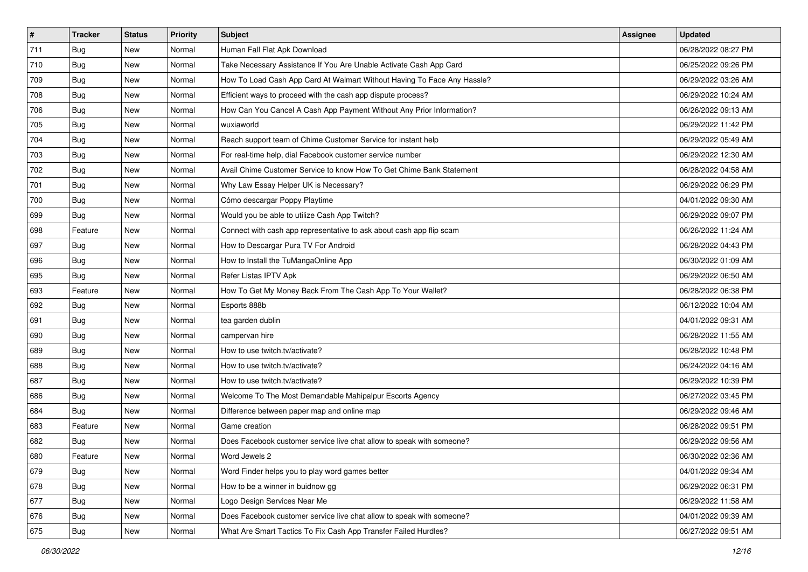| $\vert$ # | <b>Tracker</b> | <b>Status</b> | <b>Priority</b> | Subject                                                                 | Assignee | <b>Updated</b>      |
|-----------|----------------|---------------|-----------------|-------------------------------------------------------------------------|----------|---------------------|
| 711       | <b>Bug</b>     | New           | Normal          | Human Fall Flat Apk Download                                            |          | 06/28/2022 08:27 PM |
| 710       | Bug            | New           | Normal          | Take Necessary Assistance If You Are Unable Activate Cash App Card      |          | 06/25/2022 09:26 PM |
| 709       | <b>Bug</b>     | New           | Normal          | How To Load Cash App Card At Walmart Without Having To Face Any Hassle? |          | 06/29/2022 03:26 AM |
| 708       | <b>Bug</b>     | New           | Normal          | Efficient ways to proceed with the cash app dispute process?            |          | 06/29/2022 10:24 AM |
| 706       | Bug            | New           | Normal          | How Can You Cancel A Cash App Payment Without Any Prior Information?    |          | 06/26/2022 09:13 AM |
| 705       | Bug            | New           | Normal          | wuxiaworld                                                              |          | 06/29/2022 11:42 PM |
| 704       | <b>Bug</b>     | New           | Normal          | Reach support team of Chime Customer Service for instant help           |          | 06/29/2022 05:49 AM |
| 703       | Bug            | New           | Normal          | For real-time help, dial Facebook customer service number               |          | 06/29/2022 12:30 AM |
| 702       | <b>Bug</b>     | New           | Normal          | Avail Chime Customer Service to know How To Get Chime Bank Statement    |          | 06/28/2022 04:58 AM |
| 701       | Bug            | New           | Normal          | Why Law Essay Helper UK is Necessary?                                   |          | 06/29/2022 06:29 PM |
| 700       | Bug            | New           | Normal          | Cómo descargar Poppy Playtime                                           |          | 04/01/2022 09:30 AM |
| 699       | <b>Bug</b>     | New           | Normal          | Would you be able to utilize Cash App Twitch?                           |          | 06/29/2022 09:07 PM |
| 698       | Feature        | New           | Normal          | Connect with cash app representative to ask about cash app flip scam    |          | 06/26/2022 11:24 AM |
| 697       | <b>Bug</b>     | New           | Normal          | How to Descargar Pura TV For Android                                    |          | 06/28/2022 04:43 PM |
| 696       | <b>Bug</b>     | New           | Normal          | How to Install the TuMangaOnline App                                    |          | 06/30/2022 01:09 AM |
| 695       | <b>Bug</b>     | New           | Normal          | Refer Listas IPTV Apk                                                   |          | 06/29/2022 06:50 AM |
| 693       | Feature        | New           | Normal          | How To Get My Money Back From The Cash App To Your Wallet?              |          | 06/28/2022 06:38 PM |
| 692       | Bug            | New           | Normal          | Esports 888b                                                            |          | 06/12/2022 10:04 AM |
| 691       | <b>Bug</b>     | New           | Normal          | tea garden dublin                                                       |          | 04/01/2022 09:31 AM |
| 690       | <b>Bug</b>     | New           | Normal          | campervan hire                                                          |          | 06/28/2022 11:55 AM |
| 689       | Bug            | New           | Normal          | How to use twitch.tv/activate?                                          |          | 06/28/2022 10:48 PM |
| 688       | <b>Bug</b>     | New           | Normal          | How to use twitch.tv/activate?                                          |          | 06/24/2022 04:16 AM |
| 687       | Bug            | New           | Normal          | How to use twitch.tv/activate?                                          |          | 06/29/2022 10:39 PM |
| 686       | <b>Bug</b>     | New           | Normal          | Welcome To The Most Demandable Mahipalpur Escorts Agency                |          | 06/27/2022 03:45 PM |
| 684       | <b>Bug</b>     | New           | Normal          | Difference between paper map and online map                             |          | 06/29/2022 09:46 AM |
| 683       | Feature        | New           | Normal          | Game creation                                                           |          | 06/28/2022 09:51 PM |
| 682       | Bug            | New           | Normal          | Does Facebook customer service live chat allow to speak with someone?   |          | 06/29/2022 09:56 AM |
| 680       | Feature        | New           | Normal          | Word Jewels 2                                                           |          | 06/30/2022 02:36 AM |
| 679       | Bug            | New           | Normal          | Word Finder helps you to play word games better                         |          | 04/01/2022 09:34 AM |
| 678       | <b>Bug</b>     | New           | Normal          | How to be a winner in buidnow gg                                        |          | 06/29/2022 06:31 PM |
| 677       | <b>Bug</b>     | New           | Normal          | Logo Design Services Near Me                                            |          | 06/29/2022 11:58 AM |
| 676       | Bug            | New           | Normal          | Does Facebook customer service live chat allow to speak with someone?   |          | 04/01/2022 09:39 AM |
| 675       | <b>Bug</b>     | New           | Normal          | What Are Smart Tactics To Fix Cash App Transfer Failed Hurdles?         |          | 06/27/2022 09:51 AM |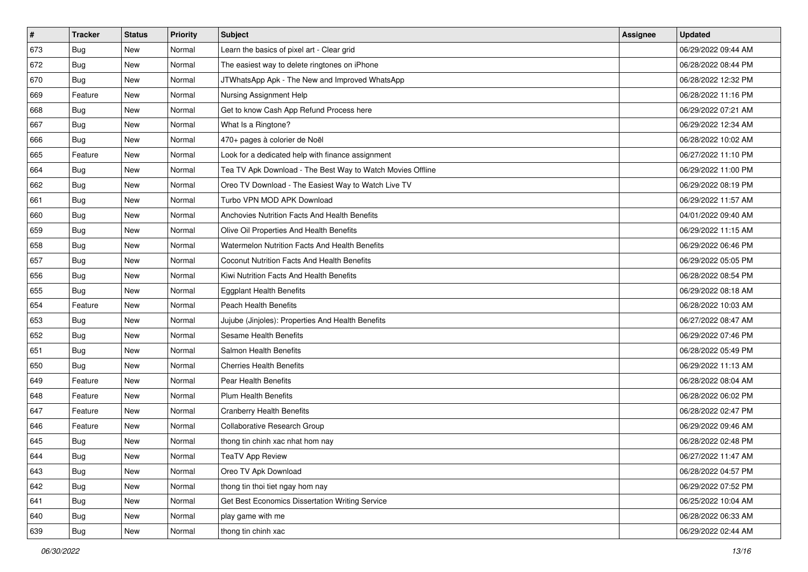| $\vert$ # | <b>Tracker</b> | <b>Status</b> | <b>Priority</b> | Subject                                                    | <b>Assignee</b> | <b>Updated</b>      |
|-----------|----------------|---------------|-----------------|------------------------------------------------------------|-----------------|---------------------|
| 673       | <b>Bug</b>     | New           | Normal          | Learn the basics of pixel art - Clear grid                 |                 | 06/29/2022 09:44 AM |
| 672       | <b>Bug</b>     | New           | Normal          | The easiest way to delete ringtones on iPhone              |                 | 06/28/2022 08:44 PM |
| 670       | Bug            | New           | Normal          | JTWhatsApp Apk - The New and Improved WhatsApp             |                 | 06/28/2022 12:32 PM |
| 669       | Feature        | New           | Normal          | Nursing Assignment Help                                    |                 | 06/28/2022 11:16 PM |
| 668       | <b>Bug</b>     | New           | Normal          | Get to know Cash App Refund Process here                   |                 | 06/29/2022 07:21 AM |
| 667       | Bug            | New           | Normal          | What Is a Ringtone?                                        |                 | 06/29/2022 12:34 AM |
| 666       | Bug            | New           | Normal          | 470+ pages à colorier de Noël                              |                 | 06/28/2022 10:02 AM |
| 665       | Feature        | New           | Normal          | Look for a dedicated help with finance assignment          |                 | 06/27/2022 11:10 PM |
| 664       | Bug            | New           | Normal          | Tea TV Apk Download - The Best Way to Watch Movies Offline |                 | 06/29/2022 11:00 PM |
| 662       | Bug            | New           | Normal          | Oreo TV Download - The Easiest Way to Watch Live TV        |                 | 06/29/2022 08:19 PM |
| 661       | Bug            | New           | Normal          | Turbo VPN MOD APK Download                                 |                 | 06/29/2022 11:57 AM |
| 660       | <b>Bug</b>     | New           | Normal          | Anchovies Nutrition Facts And Health Benefits              |                 | 04/01/2022 09:40 AM |
| 659       | <b>Bug</b>     | New           | Normal          | Olive Oil Properties And Health Benefits                   |                 | 06/29/2022 11:15 AM |
| 658       | <b>Bug</b>     | New           | Normal          | Watermelon Nutrition Facts And Health Benefits             |                 | 06/29/2022 06:46 PM |
| 657       | <b>Bug</b>     | <b>New</b>    | Normal          | Coconut Nutrition Facts And Health Benefits                |                 | 06/29/2022 05:05 PM |
| 656       | Bug            | New           | Normal          | Kiwi Nutrition Facts And Health Benefits                   |                 | 06/28/2022 08:54 PM |
| 655       | Bug            | New           | Normal          | <b>Eggplant Health Benefits</b>                            |                 | 06/29/2022 08:18 AM |
| 654       | Feature        | New           | Normal          | <b>Peach Health Benefits</b>                               |                 | 06/28/2022 10:03 AM |
| 653       | <b>Bug</b>     | New           | Normal          | Jujube (Jinjoles): Properties And Health Benefits          |                 | 06/27/2022 08:47 AM |
| 652       | <b>Bug</b>     | New           | Normal          | Sesame Health Benefits                                     |                 | 06/29/2022 07:46 PM |
| 651       | Bug            | New           | Normal          | Salmon Health Benefits                                     |                 | 06/28/2022 05:49 PM |
| 650       | Bug            | New           | Normal          | <b>Cherries Health Benefits</b>                            |                 | 06/29/2022 11:13 AM |
| 649       | Feature        | New           | Normal          | Pear Health Benefits                                       |                 | 06/28/2022 08:04 AM |
| 648       | Feature        | New           | Normal          | <b>Plum Health Benefits</b>                                |                 | 06/28/2022 06:02 PM |
| 647       | Feature        | New           | Normal          | <b>Cranberry Health Benefits</b>                           |                 | 06/28/2022 02:47 PM |
| 646       | Feature        | New           | Normal          | Collaborative Research Group                               |                 | 06/29/2022 09:46 AM |
| 645       | <b>Bug</b>     | New           | Normal          | thong tin chinh xac nhat hom nay                           |                 | 06/28/2022 02:48 PM |
| 644       | I Bug          | New           | Normal          | TeaTV App Review                                           |                 | 06/27/2022 11:47 AM |
| 643       | <b>Bug</b>     | New           | Normal          | Oreo TV Apk Download                                       |                 | 06/28/2022 04:57 PM |
| 642       | <b>Bug</b>     | New           | Normal          | thong tin thoi tiet ngay hom nay                           |                 | 06/29/2022 07:52 PM |
| 641       | <b>Bug</b>     | New           | Normal          | Get Best Economics Dissertation Writing Service            |                 | 06/25/2022 10:04 AM |
| 640       | Bug            | New           | Normal          | play game with me                                          |                 | 06/28/2022 06:33 AM |
| 639       | <b>Bug</b>     | New           | Normal          | thong tin chinh xac                                        |                 | 06/29/2022 02:44 AM |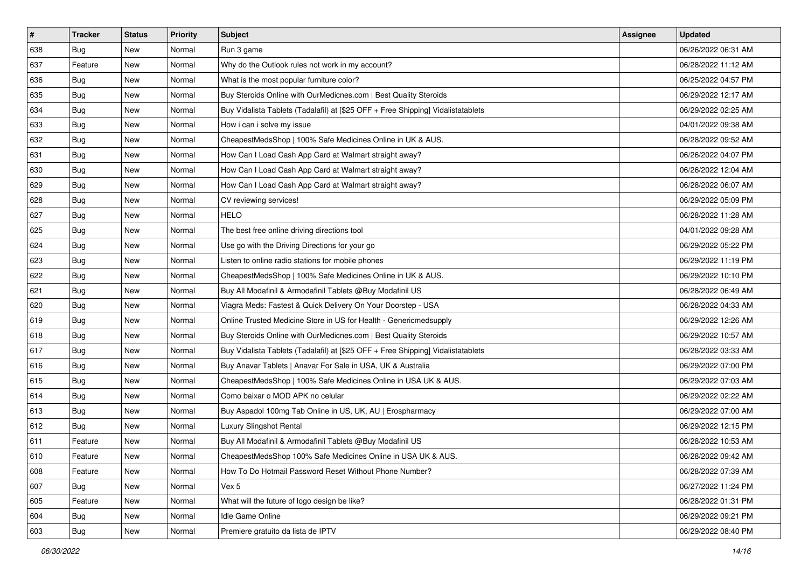| $\sharp$ | <b>Tracker</b> | <b>Status</b> | <b>Priority</b> | Subject                                                                          | <b>Assignee</b> | <b>Updated</b>      |
|----------|----------------|---------------|-----------------|----------------------------------------------------------------------------------|-----------------|---------------------|
| 638      | <b>Bug</b>     | New           | Normal          | Run 3 game                                                                       |                 | 06/26/2022 06:31 AM |
| 637      | Feature        | New           | Normal          | Why do the Outlook rules not work in my account?                                 |                 | 06/28/2022 11:12 AM |
| 636      | Bug            | New           | Normal          | What is the most popular furniture color?                                        |                 | 06/25/2022 04:57 PM |
| 635      | Bug            | New           | Normal          | Buy Steroids Online with OurMedicnes.com   Best Quality Steroids                 |                 | 06/29/2022 12:17 AM |
| 634      | Bug            | New           | Normal          | Buy Vidalista Tablets (Tadalafil) at [\$25 OFF + Free Shipping] Vidalistatablets |                 | 06/29/2022 02:25 AM |
| 633      | Bug            | New           | Normal          | How i can i solve my issue                                                       |                 | 04/01/2022 09:38 AM |
| 632      | Bug            | New           | Normal          | CheapestMedsShop   100% Safe Medicines Online in UK & AUS.                       |                 | 06/28/2022 09:52 AM |
| 631      | <b>Bug</b>     | New           | Normal          | How Can I Load Cash App Card at Walmart straight away?                           |                 | 06/26/2022 04:07 PM |
| 630      | Bug            | New           | Normal          | How Can I Load Cash App Card at Walmart straight away?                           |                 | 06/26/2022 12:04 AM |
| 629      | Bug            | New           | Normal          | How Can I Load Cash App Card at Walmart straight away?                           |                 | 06/28/2022 06:07 AM |
| 628      | <b>Bug</b>     | New           | Normal          | CV reviewing services!                                                           |                 | 06/29/2022 05:09 PM |
| 627      | <b>Bug</b>     | New           | Normal          | <b>HELO</b>                                                                      |                 | 06/28/2022 11:28 AM |
| 625      | Bug            | New           | Normal          | The best free online driving directions tool                                     |                 | 04/01/2022 09:28 AM |
| 624      | Bug            | New           | Normal          | Use go with the Driving Directions for your go                                   |                 | 06/29/2022 05:22 PM |
| 623      | Bug            | New           | Normal          | Listen to online radio stations for mobile phones                                |                 | 06/29/2022 11:19 PM |
| 622      | Bug            | New           | Normal          | CheapestMedsShop   100% Safe Medicines Online in UK & AUS.                       |                 | 06/29/2022 10:10 PM |
| 621      | <b>Bug</b>     | New           | Normal          | Buy All Modafinil & Armodafinil Tablets @Buy Modafinil US                        |                 | 06/28/2022 06:49 AM |
| 620      | Bug            | <b>New</b>    | Normal          | Viagra Meds: Fastest & Quick Delivery On Your Doorstep - USA                     |                 | 06/28/2022 04:33 AM |
| 619      | Bug            | New           | Normal          | Online Trusted Medicine Store in US for Health - Genericmedsupply                |                 | 06/29/2022 12:26 AM |
| 618      | Bug            | New           | Normal          | Buy Steroids Online with OurMedicnes.com   Best Quality Steroids                 |                 | 06/29/2022 10:57 AM |
| 617      | Bug            | New           | Normal          | Buy Vidalista Tablets (Tadalafil) at [\$25 OFF + Free Shipping] Vidalistatablets |                 | 06/28/2022 03:33 AM |
| 616      | Bug            | <b>New</b>    | Normal          | Buy Anavar Tablets   Anavar For Sale in USA, UK & Australia                      |                 | 06/29/2022 07:00 PM |
| 615      | Bug            | New           | Normal          | CheapestMedsShop   100% Safe Medicines Online in USA UK & AUS.                   |                 | 06/29/2022 07:03 AM |
| 614      | <b>Bug</b>     | New           | Normal          | Como baixar o MOD APK no celular                                                 |                 | 06/29/2022 02:22 AM |
| 613      | Bug            | New           | Normal          | Buy Aspadol 100mg Tab Online in US, UK, AU   Erospharmacy                        |                 | 06/29/2022 07:00 AM |
| 612      | Bug            | New           | Normal          | Luxury Slingshot Rental                                                          |                 | 06/29/2022 12:15 PM |
| 611      | Feature        | New           | Normal          | Buy All Modafinil & Armodafinil Tablets @Buy Modafinil US                        |                 | 06/28/2022 10:53 AM |
| 610      | Feature        | New           | Normal          | CheapestMedsShop 100% Safe Medicines Online in USA UK & AUS.                     |                 | 06/28/2022 09:42 AM |
| 608      | Feature        | New           | Normal          | How To Do Hotmail Password Reset Without Phone Number?                           |                 | 06/28/2022 07:39 AM |
| 607      | <b>Bug</b>     | New           | Normal          | Vex 5                                                                            |                 | 06/27/2022 11:24 PM |
| 605      | Feature        | New           | Normal          | What will the future of logo design be like?                                     |                 | 06/28/2022 01:31 PM |
| 604      | <b>Bug</b>     | New           | Normal          | Idle Game Online                                                                 |                 | 06/29/2022 09:21 PM |
| 603      | <b>Bug</b>     | New           | Normal          | Premiere gratuito da lista de IPTV                                               |                 | 06/29/2022 08:40 PM |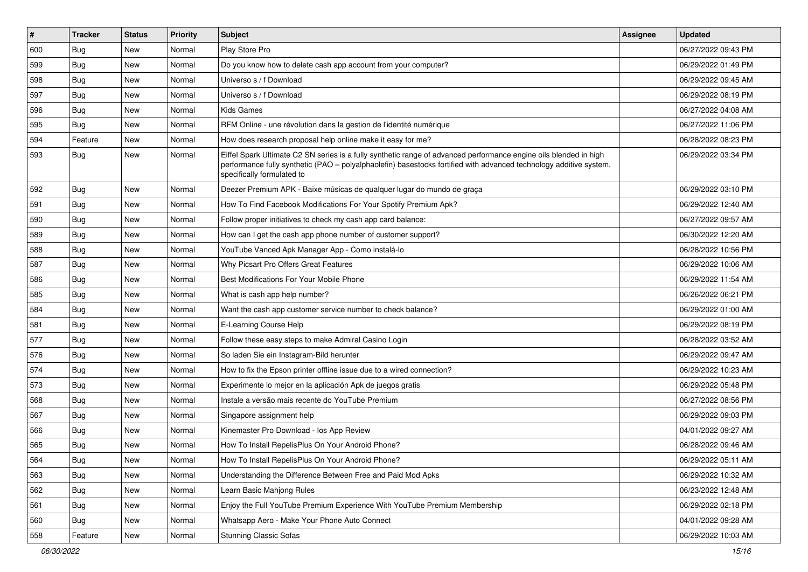| $\vert$ # | <b>Tracker</b> | <b>Status</b> | <b>Priority</b> | Subject                                                                                                                                                                                                                                                               | Assignee | <b>Updated</b>      |
|-----------|----------------|---------------|-----------------|-----------------------------------------------------------------------------------------------------------------------------------------------------------------------------------------------------------------------------------------------------------------------|----------|---------------------|
| 600       | <b>Bug</b>     | New           | Normal          | Play Store Pro                                                                                                                                                                                                                                                        |          | 06/27/2022 09:43 PM |
| 599       | Bug            | New           | Normal          | Do you know how to delete cash app account from your computer?                                                                                                                                                                                                        |          | 06/29/2022 01:49 PM |
| 598       | Bug            | New           | Normal          | Universo s / f Download                                                                                                                                                                                                                                               |          | 06/29/2022 09:45 AM |
| 597       | <b>Bug</b>     | New           | Normal          | Universo s / f Download                                                                                                                                                                                                                                               |          | 06/29/2022 08:19 PM |
| 596       | Bug            | <b>New</b>    | Normal          | <b>Kids Games</b>                                                                                                                                                                                                                                                     |          | 06/27/2022 04:08 AM |
| 595       | Bug            | New           | Normal          | RFM Online - une révolution dans la gestion de l'identité numérique                                                                                                                                                                                                   |          | 06/27/2022 11:06 PM |
| 594       | Feature        | New           | Normal          | How does research proposal help online make it easy for me?                                                                                                                                                                                                           |          | 06/28/2022 08:23 PM |
| 593       | <b>Bug</b>     | New           | Normal          | Eiffel Spark Ultimate C2 SN series is a fully synthetic range of advanced performance engine oils blended in high<br>performance fully synthetic (PAO – polyalphaolefin) basestocks fortified with advanced technology additive system,<br>specifically formulated to |          | 06/29/2022 03:34 PM |
| 592       | <b>Bug</b>     | New           | Normal          | Deezer Premium APK - Baixe músicas de qualquer lugar do mundo de graça                                                                                                                                                                                                |          | 06/29/2022 03:10 PM |
| 591       | <b>Bug</b>     | New           | Normal          | How To Find Facebook Modifications For Your Spotify Premium Apk?                                                                                                                                                                                                      |          | 06/29/2022 12:40 AM |
| 590       | Bug            | <b>New</b>    | Normal          | Follow proper initiatives to check my cash app card balance:                                                                                                                                                                                                          |          | 06/27/2022 09:57 AM |
| 589       | <b>Bug</b>     | New           | Normal          | How can I get the cash app phone number of customer support?                                                                                                                                                                                                          |          | 06/30/2022 12:20 AM |
| 588       | Bug            | New           | Normal          | YouTube Vanced Apk Manager App - Como instalá-lo                                                                                                                                                                                                                      |          | 06/28/2022 10:56 PM |
| 587       | Bug            | New           | Normal          | Why Picsart Pro Offers Great Features                                                                                                                                                                                                                                 |          | 06/29/2022 10:06 AM |
| 586       | <b>Bug</b>     | New           | Normal          | Best Modifications For Your Mobile Phone                                                                                                                                                                                                                              |          | 06/29/2022 11:54 AM |
| 585       | <b>Bug</b>     | <b>New</b>    | Normal          | What is cash app help number?                                                                                                                                                                                                                                         |          | 06/26/2022 06:21 PM |
| 584       | Bug            | New           | Normal          | Want the cash app customer service number to check balance?                                                                                                                                                                                                           |          | 06/29/2022 01:00 AM |
| 581       | <b>Bug</b>     | New           | Normal          | E-Learning Course Help                                                                                                                                                                                                                                                |          | 06/29/2022 08:19 PM |
| 577       | Bug            | New           | Normal          | Follow these easy steps to make Admiral Casino Login                                                                                                                                                                                                                  |          | 06/28/2022 03:52 AM |
| 576       | Bug            | New           | Normal          | So laden Sie ein Instagram-Bild herunter                                                                                                                                                                                                                              |          | 06/29/2022 09:47 AM |
| 574       | Bug            | <b>New</b>    | Normal          | How to fix the Epson printer offline issue due to a wired connection?                                                                                                                                                                                                 |          | 06/29/2022 10:23 AM |
| 573       | Bug            | New           | Normal          | Experimente lo mejor en la aplicación Apk de juegos gratis                                                                                                                                                                                                            |          | 06/29/2022 05:48 PM |
| 568       | <b>Bug</b>     | New           | Normal          | Instale a versão mais recente do YouTube Premium                                                                                                                                                                                                                      |          | 06/27/2022 08:56 PM |
| 567       | <b>Bug</b>     | New           | Normal          | Singapore assignment help                                                                                                                                                                                                                                             |          | 06/29/2022 09:03 PM |
| 566       | <b>Bug</b>     | New           | Normal          | Kinemaster Pro Download - los App Review                                                                                                                                                                                                                              |          | 04/01/2022 09:27 AM |
| 565       | <b>Bug</b>     | New           | Normal          | How To Install RepelisPlus On Your Android Phone?                                                                                                                                                                                                                     |          | 06/28/2022 09:46 AM |
| 564       | Bug            | New           | Normal          | How To Install RepelisPlus On Your Android Phone?                                                                                                                                                                                                                     |          | 06/29/2022 05:11 AM |
| 563       | <b>Bug</b>     | New           | Normal          | Understanding the Difference Between Free and Paid Mod Apks                                                                                                                                                                                                           |          | 06/29/2022 10:32 AM |
| 562       | <b>Bug</b>     | New           | Normal          | Learn Basic Mahjong Rules                                                                                                                                                                                                                                             |          | 06/23/2022 12:48 AM |
| 561       | <b>Bug</b>     | New           | Normal          | Enjoy the Full YouTube Premium Experience With YouTube Premium Membership                                                                                                                                                                                             |          | 06/29/2022 02:18 PM |
| 560       | <b>Bug</b>     | New           | Normal          | Whatsapp Aero - Make Your Phone Auto Connect                                                                                                                                                                                                                          |          | 04/01/2022 09:28 AM |
| 558       | Feature        | New           | Normal          | <b>Stunning Classic Sofas</b>                                                                                                                                                                                                                                         |          | 06/29/2022 10:03 AM |